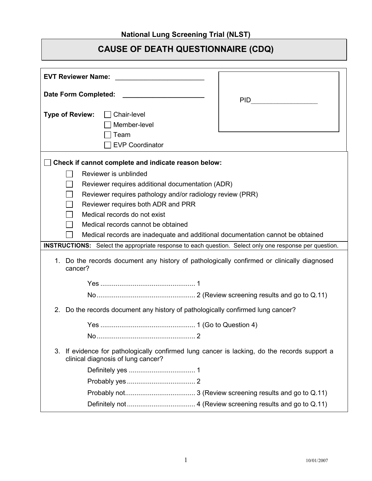## **CAUSE OF DEATH QUESTIONNAIRE (CDQ)**

| <b>EVT Reviewer Name:</b>                                                                                                             |            |  |
|---------------------------------------------------------------------------------------------------------------------------------------|------------|--|
| Date Form Completed:                                                                                                                  |            |  |
|                                                                                                                                       | <b>PID</b> |  |
| <b>Type of Review:</b><br>Chair-level                                                                                                 |            |  |
| Member-level                                                                                                                          |            |  |
| Team                                                                                                                                  |            |  |
| <b>EVP Coordinator</b>                                                                                                                |            |  |
| Check if cannot complete and indicate reason below:                                                                                   |            |  |
| Reviewer is unblinded                                                                                                                 |            |  |
| Reviewer requires additional documentation (ADR)                                                                                      |            |  |
| Reviewer requires pathology and/or radiology review (PRR)                                                                             |            |  |
| Reviewer requires both ADR and PRR                                                                                                    |            |  |
| Medical records do not exist                                                                                                          |            |  |
| Medical records cannot be obtained                                                                                                    |            |  |
| Medical records are inadequate and additional documentation cannot be obtained                                                        |            |  |
| INSTRUCTIONS: Select the appropriate response to each question. Select only one response per question.                                |            |  |
| Do the records document any history of pathologically confirmed or clinically diagnosed<br>1.<br>cancer?                              |            |  |
|                                                                                                                                       |            |  |
|                                                                                                                                       |            |  |
| 2.<br>Do the records document any history of pathologically confirmed lung cancer?                                                    |            |  |
|                                                                                                                                       |            |  |
|                                                                                                                                       |            |  |
| If evidence for pathologically confirmed lung cancer is lacking, do the records support a<br>3.<br>clinical diagnosis of lung cancer? |            |  |
|                                                                                                                                       |            |  |
|                                                                                                                                       |            |  |
|                                                                                                                                       |            |  |
|                                                                                                                                       |            |  |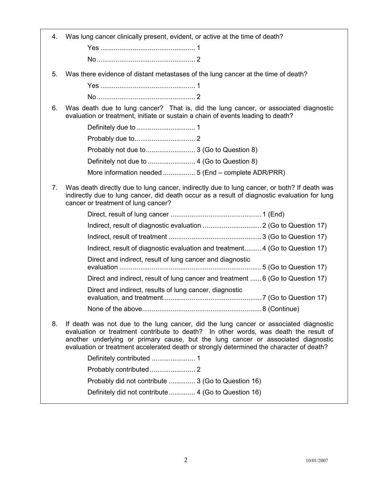| 4.                                                                           | Was lung cancer clinically present, evident, or active at the time of death?                                                                                                                                                                                                                                                                                   |  |  |
|------------------------------------------------------------------------------|----------------------------------------------------------------------------------------------------------------------------------------------------------------------------------------------------------------------------------------------------------------------------------------------------------------------------------------------------------------|--|--|
|                                                                              |                                                                                                                                                                                                                                                                                                                                                                |  |  |
|                                                                              |                                                                                                                                                                                                                                                                                                                                                                |  |  |
| 5.                                                                           | Was there evidence of distant metastases of the lung cancer at the time of death?                                                                                                                                                                                                                                                                              |  |  |
|                                                                              |                                                                                                                                                                                                                                                                                                                                                                |  |  |
|                                                                              |                                                                                                                                                                                                                                                                                                                                                                |  |  |
| 6.                                                                           | Was death due to lung cancer? That is, did the lung cancer, or associated diagnostic<br>evaluation or treatment, initiate or sustain a chain of events leading to death?                                                                                                                                                                                       |  |  |
|                                                                              |                                                                                                                                                                                                                                                                                                                                                                |  |  |
|                                                                              |                                                                                                                                                                                                                                                                                                                                                                |  |  |
|                                                                              | Probably not due to 3 (Go to Question 8)                                                                                                                                                                                                                                                                                                                       |  |  |
|                                                                              |                                                                                                                                                                                                                                                                                                                                                                |  |  |
|                                                                              | More information needed  5 (End - complete ADR/PRR)                                                                                                                                                                                                                                                                                                            |  |  |
| 7.                                                                           | Was death directly due to lung cancer, indirectly due to lung cancer, or both? If death was<br>indirectly due to lung cancer, did death occur as a result of diagnostic evaluation for lung<br>cancer or treatment of lung cancer?                                                                                                                             |  |  |
|                                                                              |                                                                                                                                                                                                                                                                                                                                                                |  |  |
|                                                                              |                                                                                                                                                                                                                                                                                                                                                                |  |  |
|                                                                              |                                                                                                                                                                                                                                                                                                                                                                |  |  |
| Indirect, result of diagnostic evaluation and treatment4 (Go to Question 17) |                                                                                                                                                                                                                                                                                                                                                                |  |  |
|                                                                              | Direct and indirect, result of lung cancer and diagnostic                                                                                                                                                                                                                                                                                                      |  |  |
|                                                                              | Direct and indirect, result of lung cancer and treatment  6 (Go to Question 17)                                                                                                                                                                                                                                                                                |  |  |
|                                                                              | Direct and indirect, results of lung cancer, diagnostic                                                                                                                                                                                                                                                                                                        |  |  |
|                                                                              |                                                                                                                                                                                                                                                                                                                                                                |  |  |
| 8.                                                                           | If death was not due to the lung cancer, did the lung cancer or associated diagnostic<br>evaluation or treatment contribute to death? In other words, was death the result of<br>another underlying or primary cause, but the lung cancer or associated diagnostic<br>evaluation or treatment accelerated death or strongly determined the character of death? |  |  |
|                                                                              |                                                                                                                                                                                                                                                                                                                                                                |  |  |
|                                                                              |                                                                                                                                                                                                                                                                                                                                                                |  |  |
|                                                                              | Probably did not contribute  3 (Go to Question 16)                                                                                                                                                                                                                                                                                                             |  |  |
|                                                                              | Definitely did not contribute 4 (Go to Question 16)                                                                                                                                                                                                                                                                                                            |  |  |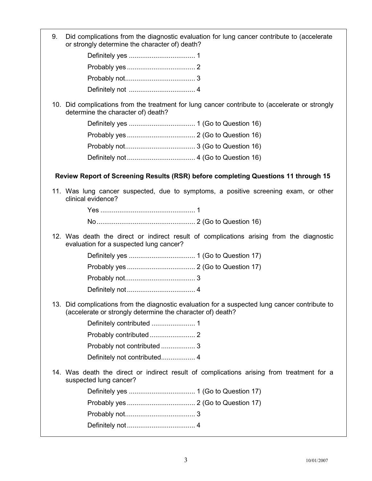9. Did complications from the diagnostic evaluation for lung cancer contribute to (accelerate or strongly determine the character of) death?

10. Did complications from the treatment for lung cancer contribute to (accelerate or strongly determine the character of) death?

## **Review Report of Screening Results (RSR) before completing Questions 11 through 15**

11. Was lung cancer suspected, due to symptoms, a positive screening exam, or other clinical evidence?

> Yes .................................................. 1 No.................................................... 2 (Go to Question 16)

12. Was death the direct or indirect result of complications arising from the diagnostic evaluation for a suspected lung cancer?

13. Did complications from the diagnostic evaluation for a suspected lung cancer contribute to (accelerate or strongly determine the character of) death?

14. Was death the direct or indirect result of complications arising from treatment for a suspected lung cancer?